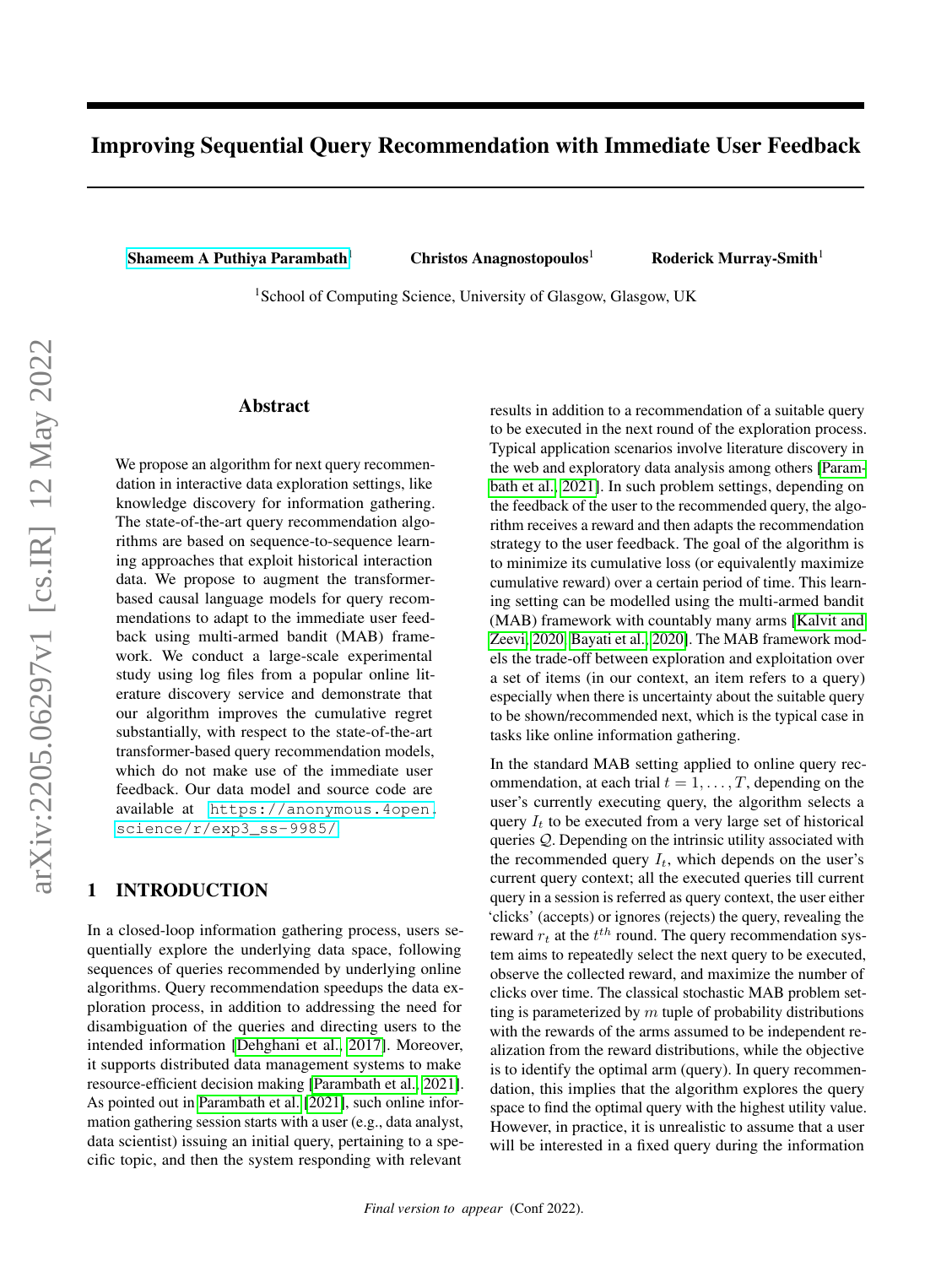# Improving Sequential Query Recommendation with Immediate User Feedback

[Shameem A Puthiya Parambath](mailto:<sham.puthiya@glasgow.ac.uk>?Subject=Your UAI 2022 paper)<sup>1</sup> Christos Anagnostopoulos<sup>1</sup> Roderick Murray-Smith<sup>1</sup>

<sup>1</sup> School of Computing Science, University of Glasgow, Glasgow, UK

### Abstract

We propose an algorithm for next query recommendation in interactive data exploration settings, like knowledge discovery for information gathering. The state-of-the-art query recommendation algorithms are based on sequence-to-sequence learning approaches that exploit historical interaction data. We propose to augment the transformerbased causal language models for query recommendations to adapt to the immediate user feedback using multi-armed bandit (MAB) framework. We conduct a large-scale experimental study using log files from a popular online literature discovery service and demonstrate that our algorithm improves the cumulative regret substantially, with respect to the state-of-the-art transformer-based query recommendation models, which do not make use of the immediate user feedback. Our data model and source code are available at [https://anonymous.4open.](https://anonymous.4open.science/r/exp3_ss-9985/) [science/r/exp3\\_ss-9985/](https://anonymous.4open.science/r/exp3_ss-9985/).

### 1 INTRODUCTION

In a closed-loop information gathering process, users sequentially explore the underlying data space, following sequences of queries recommended by underlying online algorithms. Query recommendation speedups the data exploration process, in addition to addressing the need for disambiguation of the queries and directing users to the intended information [\[Dehghani et al., 2017\]](#page-8-0). Moreover, it supports distributed data management systems to make resource-efficient decision making [\[Parambath et al., 2021\]](#page-8-1). As pointed out in [Parambath et al.](#page-8-1) [\[2021\]](#page-8-1), such online information gathering session starts with a user (e.g., data analyst, data scientist) issuing an initial query, pertaining to a specific topic, and then the system responding with relevant

results in addition to a recommendation of a suitable query to be executed in the next round of the exploration process. Typical application scenarios involve literature discovery in the web and exploratory data analysis among others [\[Param](#page-8-1)[bath et al., 2021\]](#page-8-1). In such problem settings, depending on the feedback of the user to the recommended query, the algorithm receives a reward and then adapts the recommendation strategy to the user feedback. The goal of the algorithm is to minimize its cumulative loss (or equivalently maximize cumulative reward) over a certain period of time. This learning setting can be modelled using the multi-armed bandit (MAB) framework with countably many arms [\[Kalvit and](#page-8-2) [Zeevi, 2020,](#page-8-2) [Bayati et al., 2020\]](#page-8-3). The MAB framework models the trade-off between exploration and exploitation over a set of items (in our context, an item refers to a query) especially when there is uncertainty about the suitable query to be shown/recommended next, which is the typical case in tasks like online information gathering.

In the standard MAB setting applied to online query recommendation, at each trial  $t = 1, \ldots, T$ , depending on the user's currently executing query, the algorithm selects a query  $I_t$  to be executed from a very large set of historical queries Q. Depending on the intrinsic utility associated with the recommended query  $I_t$ , which depends on the user's current query context; all the executed queries till current query in a session is referred as query context, the user either 'clicks' (accepts) or ignores (rejects) the query, revealing the reward  $r_t$  at the  $t^{th}$  round. The query recommendation system aims to repeatedly select the next query to be executed, observe the collected reward, and maximize the number of clicks over time. The classical stochastic MAB problem setting is parameterized by  $m$  tuple of probability distributions with the rewards of the arms assumed to be independent realization from the reward distributions, while the objective is to identify the optimal arm (query). In query recommendation, this implies that the algorithm explores the query space to find the optimal query with the highest utility value. However, in practice, it is unrealistic to assume that a user will be interested in a fixed query during the information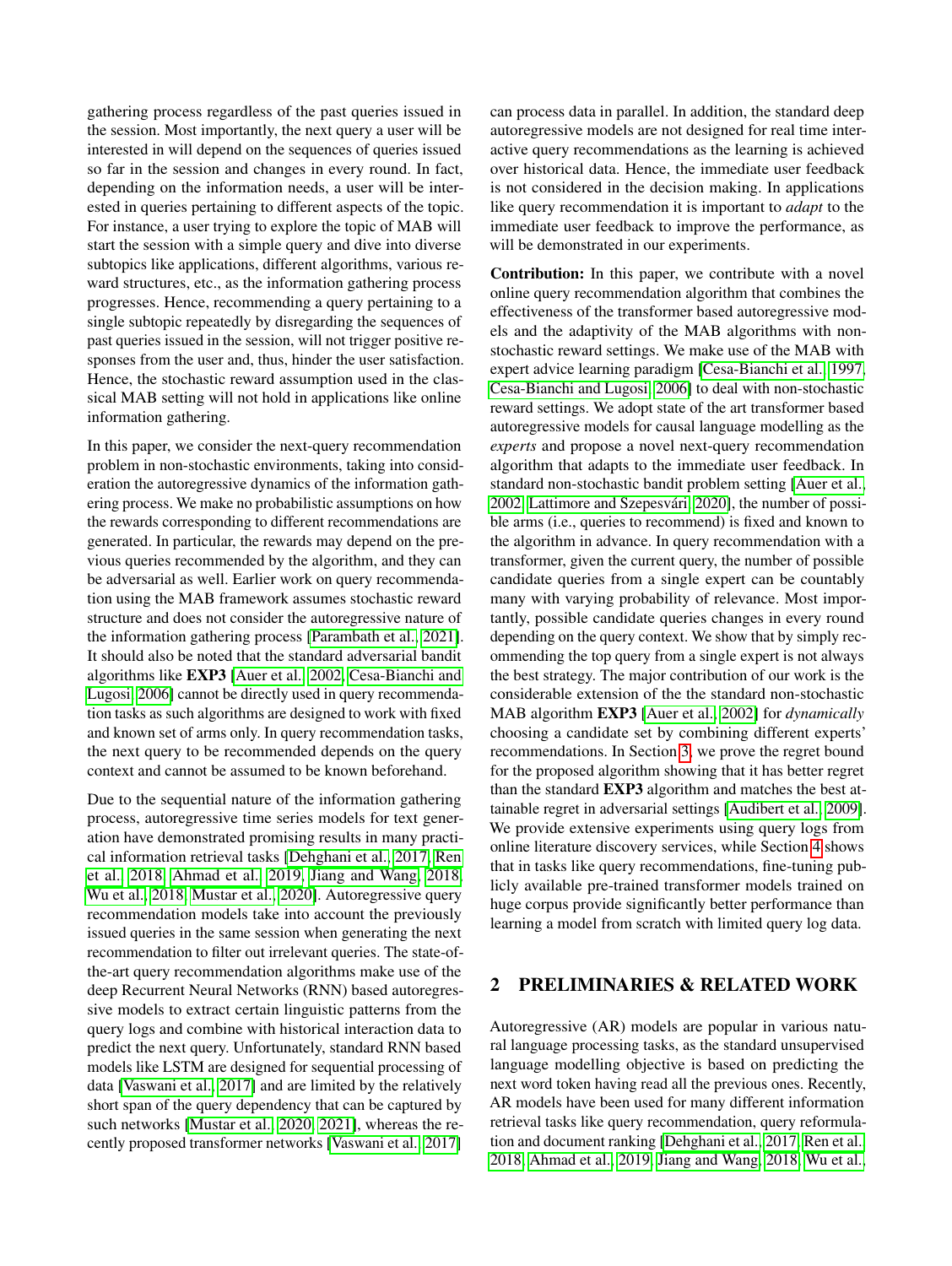gathering process regardless of the past queries issued in the session. Most importantly, the next query a user will be interested in will depend on the sequences of queries issued so far in the session and changes in every round. In fact, depending on the information needs, a user will be interested in queries pertaining to different aspects of the topic. For instance, a user trying to explore the topic of MAB will start the session with a simple query and dive into diverse subtopics like applications, different algorithms, various reward structures, etc., as the information gathering process progresses. Hence, recommending a query pertaining to a single subtopic repeatedly by disregarding the sequences of past queries issued in the session, will not trigger positive responses from the user and, thus, hinder the user satisfaction. Hence, the stochastic reward assumption used in the classical MAB setting will not hold in applications like online information gathering.

In this paper, we consider the next-query recommendation problem in non-stochastic environments, taking into consideration the autoregressive dynamics of the information gathering process. We make no probabilistic assumptions on how the rewards corresponding to different recommendations are generated. In particular, the rewards may depend on the previous queries recommended by the algorithm, and they can be adversarial as well. Earlier work on query recommendation using the MAB framework assumes stochastic reward structure and does not consider the autoregressive nature of the information gathering process [\[Parambath et al., 2021\]](#page-8-1). It should also be noted that the standard adversarial bandit algorithms like EXP3 [\[Auer et al., 2002,](#page-8-4) [Cesa-Bianchi and](#page-8-5) [Lugosi, 2006\]](#page-8-5) cannot be directly used in query recommendation tasks as such algorithms are designed to work with fixed and known set of arms only. In query recommendation tasks, the next query to be recommended depends on the query context and cannot be assumed to be known beforehand.

Due to the sequential nature of the information gathering process, autoregressive time series models for text generation have demonstrated promising results in many practical information retrieval tasks [\[Dehghani et al., 2017,](#page-8-0) [Ren](#page-8-6) [et al., 2018,](#page-8-6) [Ahmad et al., 2019,](#page-8-7) [Jiang and Wang, 2018,](#page-8-8) [Wu et al., 2018,](#page-9-0) [Mustar et al., 2020\]](#page-8-9). Autoregressive query recommendation models take into account the previously issued queries in the same session when generating the next recommendation to filter out irrelevant queries. The state-ofthe-art query recommendation algorithms make use of the deep Recurrent Neural Networks (RNN) based autoregressive models to extract certain linguistic patterns from the query logs and combine with historical interaction data to predict the next query. Unfortunately, standard RNN based models like LSTM are designed for sequential processing of data [\[Vaswani et al., 2017\]](#page-8-10) and are limited by the relatively short span of the query dependency that can be captured by such networks [\[Mustar et al., 2020,](#page-8-9) [2021\]](#page-8-11), whereas the recently proposed transformer networks [\[Vaswani et al., 2017\]](#page-8-10)

can process data in parallel. In addition, the standard deep autoregressive models are not designed for real time interactive query recommendations as the learning is achieved over historical data. Hence, the immediate user feedback is not considered in the decision making. In applications like query recommendation it is important to *adapt* to the immediate user feedback to improve the performance, as will be demonstrated in our experiments.

Contribution: In this paper, we contribute with a novel online query recommendation algorithm that combines the effectiveness of the transformer based autoregressive models and the adaptivity of the MAB algorithms with nonstochastic reward settings. We make use of the MAB with expert advice learning paradigm [\[Cesa-Bianchi et al., 1997,](#page-8-12) [Cesa-Bianchi and Lugosi, 2006\]](#page-8-5) to deal with non-stochastic reward settings. We adopt state of the art transformer based autoregressive models for causal language modelling as the *experts* and propose a novel next-query recommendation algorithm that adapts to the immediate user feedback. In standard non-stochastic bandit problem setting [\[Auer et al.,](#page-8-4) [2002,](#page-8-4) [Lattimore and Szepesvári, 2020\]](#page-8-13), the number of possible arms (i.e., queries to recommend) is fixed and known to the algorithm in advance. In query recommendation with a transformer, given the current query, the number of possible candidate queries from a single expert can be countably many with varying probability of relevance. Most importantly, possible candidate queries changes in every round depending on the query context. We show that by simply recommending the top query from a single expert is not always the best strategy. The major contribution of our work is the considerable extension of the the standard non-stochastic MAB algorithm EXP3 [\[Auer et al., 2002\]](#page-8-4) for *dynamically* choosing a candidate set by combining different experts' recommendations. In Section [3,](#page-3-0) we prove the regret bound for the proposed algorithm showing that it has better regret than the standard EXP3 algorithm and matches the best attainable regret in adversarial settings [\[Audibert et al., 2009\]](#page-8-14). We provide extensive experiments using query logs from online literature discovery services, while Section [4](#page-4-0) shows that in tasks like query recommendations, fine-tuning publicly available pre-trained transformer models trained on huge corpus provide significantly better performance than learning a model from scratch with limited query log data.

## 2 PRELIMINARIES & RELATED WORK

Autoregressive (AR) models are popular in various natural language processing tasks, as the standard unsupervised language modelling objective is based on predicting the next word token having read all the previous ones. Recently, AR models have been used for many different information retrieval tasks like query recommendation, query reformulation and document ranking [\[Dehghani et al., 2017,](#page-8-0) [Ren et al.,](#page-8-6) [2018,](#page-8-6) [Ahmad et al., 2019,](#page-8-7) [Jiang and Wang, 2018,](#page-8-8) [Wu et al.,](#page-9-0)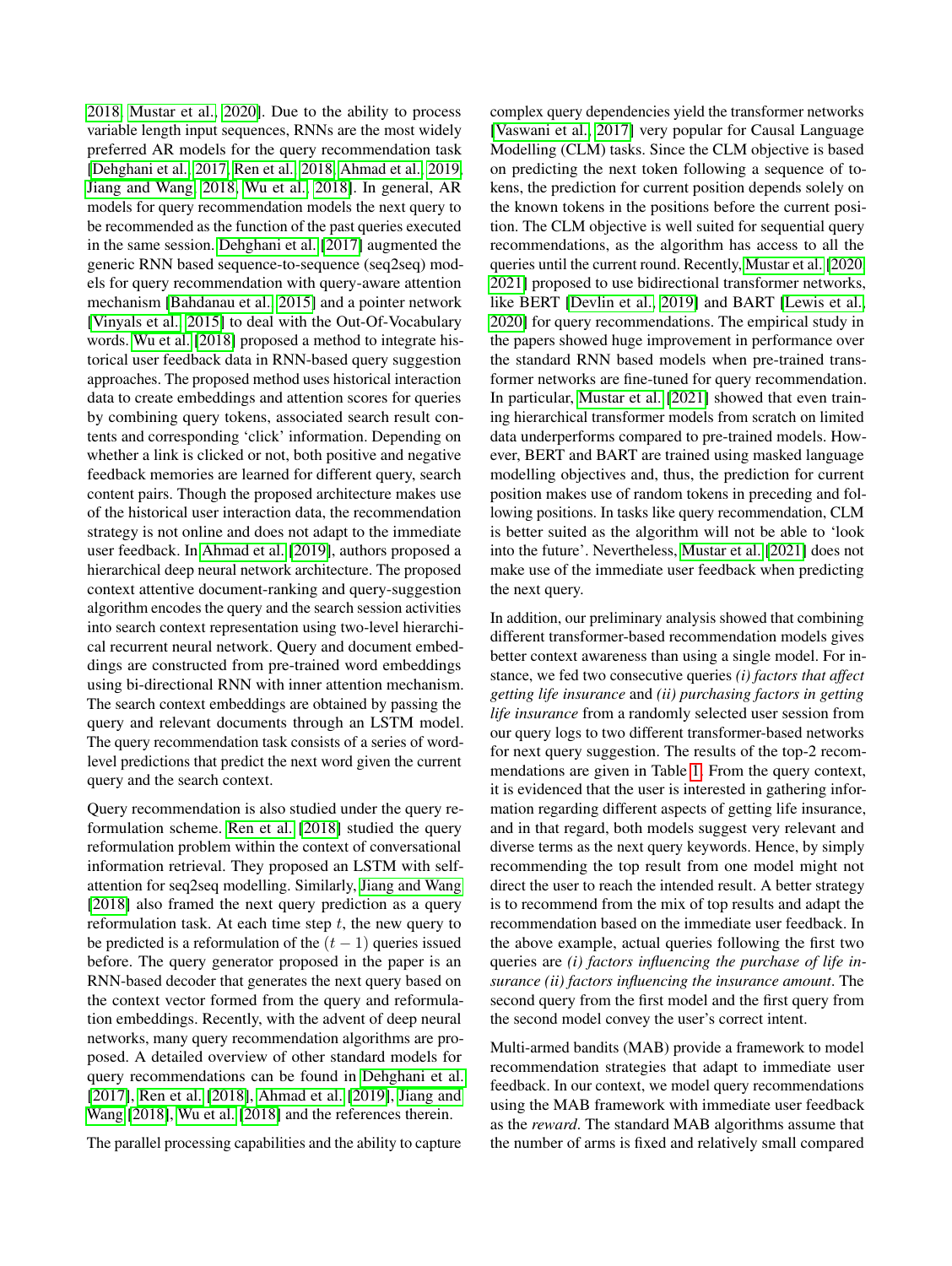[2018,](#page-9-0) [Mustar et al., 2020\]](#page-8-9). Due to the ability to process variable length input sequences, RNNs are the most widely preferred AR models for the query recommendation task [\[Dehghani et al., 2017,](#page-8-0) [Ren et al., 2018,](#page-8-6) [Ahmad et al., 2019,](#page-8-7) [Jiang and Wang, 2018,](#page-8-8) [Wu et al., 2018\]](#page-9-0). In general, AR models for query recommendation models the next query to be recommended as the function of the past queries executed in the same session. [Dehghani et al.](#page-8-0) [\[2017\]](#page-8-0) augmented the generic RNN based sequence-to-sequence (seq2seq) models for query recommendation with query-aware attention mechanism [\[Bahdanau et al., 2015\]](#page-8-15) and a pointer network [\[Vinyals et al., 2015\]](#page-8-16) to deal with the Out-Of-Vocabulary words. [Wu et al.](#page-9-0) [\[2018\]](#page-9-0) proposed a method to integrate historical user feedback data in RNN-based query suggestion approaches. The proposed method uses historical interaction data to create embeddings and attention scores for queries by combining query tokens, associated search result contents and corresponding 'click' information. Depending on whether a link is clicked or not, both positive and negative feedback memories are learned for different query, search content pairs. Though the proposed architecture makes use of the historical user interaction data, the recommendation strategy is not online and does not adapt to the immediate user feedback. In [Ahmad et al.](#page-8-7) [\[2019\]](#page-8-7), authors proposed a hierarchical deep neural network architecture. The proposed context attentive document-ranking and query-suggestion algorithm encodes the query and the search session activities into search context representation using two-level hierarchical recurrent neural network. Query and document embeddings are constructed from pre-trained word embeddings using bi-directional RNN with inner attention mechanism. The search context embeddings are obtained by passing the query and relevant documents through an LSTM model. The query recommendation task consists of a series of wordlevel predictions that predict the next word given the current query and the search context.

Query recommendation is also studied under the query reformulation scheme. [Ren et al.](#page-8-6) [\[2018\]](#page-8-6) studied the query reformulation problem within the context of conversational information retrieval. They proposed an LSTM with selfattention for seq2seq modelling. Similarly, [Jiang and Wang](#page-8-8) [\[2018\]](#page-8-8) also framed the next query prediction as a query reformulation task. At each time step  $t$ , the new query to be predicted is a reformulation of the  $(t - 1)$  queries issued before. The query generator proposed in the paper is an RNN-based decoder that generates the next query based on the context vector formed from the query and reformulation embeddings. Recently, with the advent of deep neural networks, many query recommendation algorithms are proposed. A detailed overview of other standard models for query recommendations can be found in [Dehghani et al.](#page-8-0) [\[2017\]](#page-8-0), [Ren et al.](#page-8-6) [\[2018\]](#page-8-6), [Ahmad et al.](#page-8-7) [\[2019\]](#page-8-7), [Jiang and](#page-8-8) [Wang](#page-8-8) [\[2018\]](#page-8-8), [Wu et al.](#page-9-0) [\[2018\]](#page-9-0) and the references therein.

The parallel processing capabilities and the ability to capture

complex query dependencies yield the transformer networks [\[Vaswani et al., 2017\]](#page-8-10) very popular for Causal Language Modelling (CLM) tasks. Since the CLM objective is based on predicting the next token following a sequence of tokens, the prediction for current position depends solely on the known tokens in the positions before the current position. The CLM objective is well suited for sequential query recommendations, as the algorithm has access to all the queries until the current round. Recently, [Mustar et al.](#page-8-9) [\[2020,](#page-8-9) [2021\]](#page-8-11) proposed to use bidirectional transformer networks, like BERT [\[Devlin et al., 2019\]](#page-8-17) and BART [\[Lewis et al.,](#page-8-18) [2020\]](#page-8-18) for query recommendations. The empirical study in the papers showed huge improvement in performance over the standard RNN based models when pre-trained transformer networks are fine-tuned for query recommendation. In particular, [Mustar et al.](#page-8-11) [\[2021\]](#page-8-11) showed that even training hierarchical transformer models from scratch on limited data underperforms compared to pre-trained models. However, BERT and BART are trained using masked language modelling objectives and, thus, the prediction for current position makes use of random tokens in preceding and following positions. In tasks like query recommendation, CLM is better suited as the algorithm will not be able to 'look into the future'. Nevertheless, [Mustar et al.](#page-8-11) [\[2021\]](#page-8-11) does not make use of the immediate user feedback when predicting the next query.

In addition, our preliminary analysis showed that combining different transformer-based recommendation models gives better context awareness than using a single model. For instance, we fed two consecutive queries *(i) factors that affect getting life insurance* and *(ii) purchasing factors in getting life insurance* from a randomly selected user session from our query logs to two different transformer-based networks for next query suggestion. The results of the top-2 recommendations are given in Table [1.](#page-3-1) From the query context, it is evidenced that the user is interested in gathering information regarding different aspects of getting life insurance, and in that regard, both models suggest very relevant and diverse terms as the next query keywords. Hence, by simply recommending the top result from one model might not direct the user to reach the intended result. A better strategy is to recommend from the mix of top results and adapt the recommendation based on the immediate user feedback. In the above example, actual queries following the first two queries are *(i) factors influencing the purchase of life insurance (ii) factors influencing the insurance amount*. The second query from the first model and the first query from the second model convey the user's correct intent.

Multi-armed bandits (MAB) provide a framework to model recommendation strategies that adapt to immediate user feedback. In our context, we model query recommendations using the MAB framework with immediate user feedback as the *reward*. The standard MAB algorithms assume that the number of arms is fixed and relatively small compared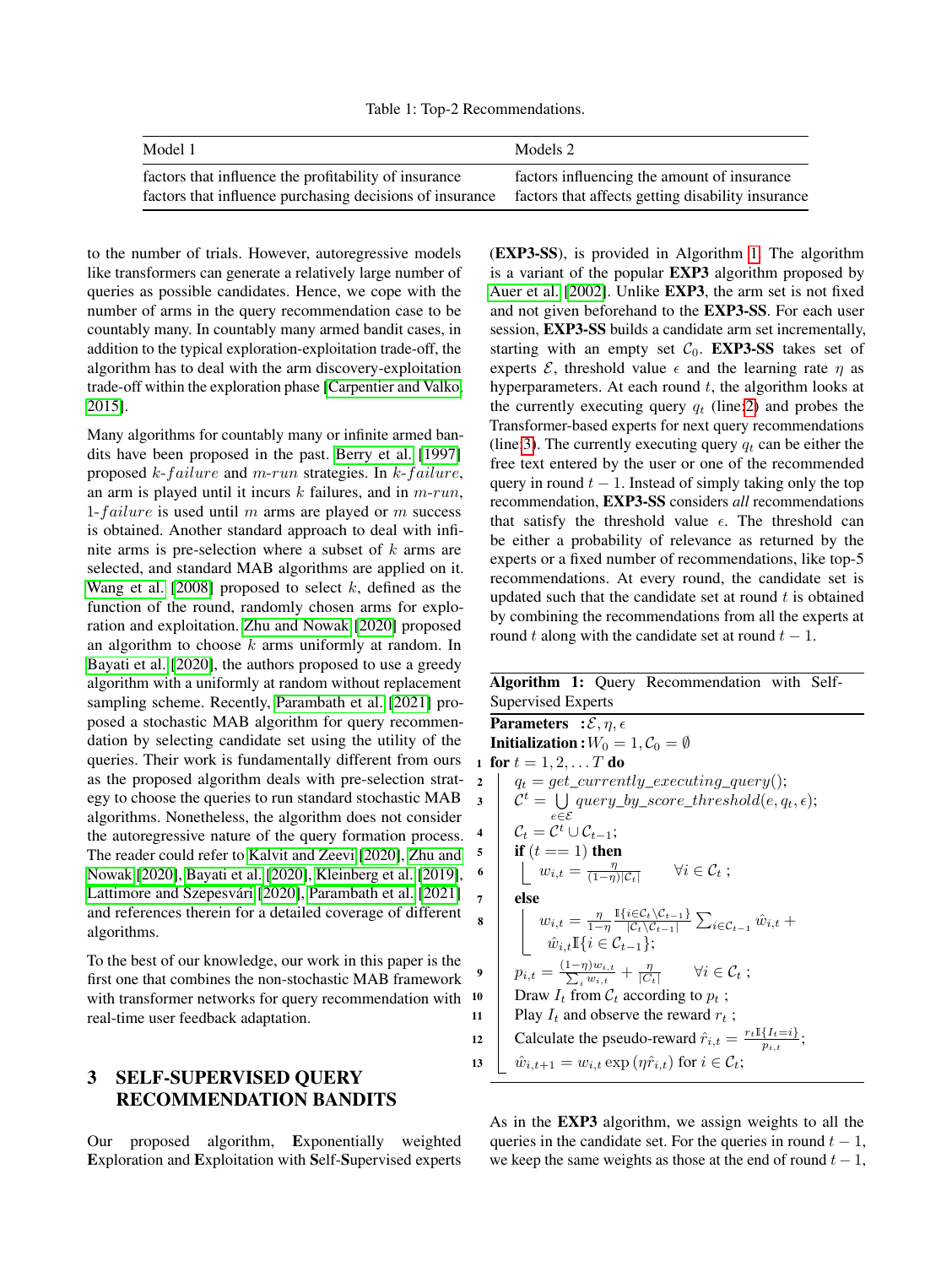Table 1: Top-2 Recommendations.

<span id="page-3-1"></span>

| Model 1                                                  | Models 2                                          |
|----------------------------------------------------------|---------------------------------------------------|
| factors that influence the profitability of insurance    | factors influencing the amount of insurance       |
| factors that influence purchasing decisions of insurance | factors that affects getting disability insurance |

to the number of trials. However, autoregressive models like transformers can generate a relatively large number of queries as possible candidates. Hence, we cope with the number of arms in the query recommendation case to be countably many. In countably many armed bandit cases, in addition to the typical exploration-exploitation trade-off, the algorithm has to deal with the arm discovery-exploitation trade-off within the exploration phase [\[Carpentier and Valko,](#page-8-19) [2015\]](#page-8-19).

Many algorithms for countably many or infinite armed bandits have been proposed in the past. [Berry et al.](#page-8-20) [\[1997\]](#page-8-20) proposed  $k$ -failure and m-run strategies. In  $k$ -failure, an arm is played until it incurs  $k$  failures, and in  $m$ -run, 1-failure is used until m arms are played or m success is obtained. Another standard approach to deal with infinite arms is pre-selection where a subset of k arms are selected, and standard MAB algorithms are applied on it. [Wang et al.](#page-9-1) [\[2008\]](#page-9-1) proposed to select  $k$ , defined as the function of the round, randomly chosen arms for exploration and exploitation. [Zhu and Nowak](#page-9-2) [\[2020\]](#page-9-2) proposed an algorithm to choose  $k$  arms uniformly at random. In [Bayati et al.](#page-8-3) [\[2020\]](#page-8-3), the authors proposed to use a greedy algorithm with a uniformly at random without replacement sampling scheme. Recently, [Parambath et al.](#page-8-1) [\[2021\]](#page-8-1) proposed a stochastic MAB algorithm for query recommendation by selecting candidate set using the utility of the queries. Their work is fundamentally different from ours as the proposed algorithm deals with pre-selection strategy to choose the queries to run standard stochastic MAB algorithms. Nonetheless, the algorithm does not consider the autoregressive nature of the query formation process. The reader could refer to [Kalvit and Zeevi](#page-8-2) [\[2020\]](#page-8-2), [Zhu and](#page-9-2) [Nowak](#page-9-2) [\[2020\]](#page-9-2), [Bayati et al.](#page-8-3) [\[2020\]](#page-8-3), [Kleinberg et al.](#page-8-21) [\[2019\]](#page-8-21), [Lattimore and Szepesvári](#page-8-13) [\[2020\]](#page-8-13), [Parambath et al.](#page-8-1) [\[2021\]](#page-8-1) and references therein for a detailed coverage of different algorithms.

To the best of our knowledge, our work in this paper is the first one that combines the non-stochastic MAB framework with transformer networks for query recommendation with 10 real-time user feedback adaptation.

# <span id="page-3-0"></span>3 SELF-SUPERVISED QUERY RECOMMENDATION BANDITS

Our proposed algorithm, Exponentially weighted Exploration and Exploitation with Self-Supervised experts

(EXP3-SS), is provided in Algorithm [1.](#page-3-2) The algorithm is a variant of the popular EXP3 algorithm proposed by [Auer et al.](#page-8-4) [\[2002\]](#page-8-4). Unlike EXP3, the arm set is not fixed and not given beforehand to the EXP3-SS. For each user session, EXP3-SS builds a candidate arm set incrementally, starting with an empty set  $C_0$ . **EXP3-SS** takes set of experts  $\mathcal{E}$ , threshold value  $\epsilon$  and the learning rate  $\eta$  as hyperparameters. At each round  $t$ , the algorithm looks at the currently executing query  $q_t$  (line: 2) and probes the Transformer-based experts for next query recommendations (line[:3\)](#page-3-4). The currently executing query  $q_t$  can be either the free text entered by the user or one of the recommended query in round  $t - 1$ . Instead of simply taking only the top recommendation, EXP3-SS considers *all* recommendations that satisfy the threshold value  $\epsilon$ . The threshold can be either a probability of relevance as returned by the experts or a fixed number of recommendations, like top-5 recommendations. At every round, the candidate set is updated such that the candidate set at round  $t$  is obtained by combining the recommendations from all the experts at round t along with the candidate set at round  $t - 1$ .

### <span id="page-3-4"></span><span id="page-3-3"></span><span id="page-3-2"></span>Algorithm 1: Query Recommendation with Self-Supervised Experts **Parameters** :  $\mathcal{E}, \eta, \epsilon$ **Initialization :**  $W_0 = 1, \mathcal{C}_0 = \emptyset$ 1 for  $t = 1, 2, ... T$  do 2  $q_t = get\_currently\_ executing\_query();$  $\mathcal{S}$  |  $\mathcal{C}^t = \bigcup \text{ query\_by\_score\_threshold}(e, q_t, \epsilon);$ e∈E  $\begin{array}{ccc} \textsf{4} & \mid & \mathcal{C}_t = \mathcal{C}^t \cup \mathcal{C}_{t-1}; \end{array}$ 5 **if**  $(t == 1)$  then 6  $w_{i,t} = \frac{\eta}{(1-\eta)|\mathcal{C}_t|} \quad \forall i \in \mathcal{C}_t;$ <sup>7</sup> else 8  $w_{i,t} = \frac{\eta}{1-\eta} \frac{\mathbb{I}\{i \in \mathcal{C}_t \setminus \mathcal{C}_{t-1}\}}{|\mathcal{C}_t \setminus \mathcal{C}_{t-1}|}$  $\frac{i\in\mathcal{C}_{t}\setminus\mathcal{C}_{t-1}}{|\mathcal{C}_{t}\setminus\mathcal{C}_{t-1}|}\sum_{i\in\mathcal{C}_{t-1}}\hat{w}_{i,t} +$  $\hat{w}_{i,t}$ I{ $i \in \mathcal{C}_{t-1}$ }; **9**  $p_{i,t} = \frac{(1-\eta)w_{i,t}}{\sum_i w_{i,t}} + \frac{\eta}{|C_t|}$   $\forall i \in C_t ;$ 10 Draw  $I_t$  from  $\mathcal{C}_t$  according to  $p_t$ ; 11 | Play  $I_t$  and observe the reward  $r_t$ ; 12 Calculate the pseudo-reward  $\hat{r}_{i,t} = \frac{r_t \mathbb{I}\{I_t=i\}}{n_i t}$  $\frac{\{I_t = i\}}{p_{i,t}}$ ; 13  $\hat{w}_{i,t+1} = w_{i,t} \exp \left( \eta \hat{r}_{i,t} \right)$  for  $i \in \mathcal{C}_t$ ;

As in the EXP3 algorithm, we assign weights to all the queries in the candidate set. For the queries in round  $t - 1$ , we keep the same weights as those at the end of round  $t - 1$ ,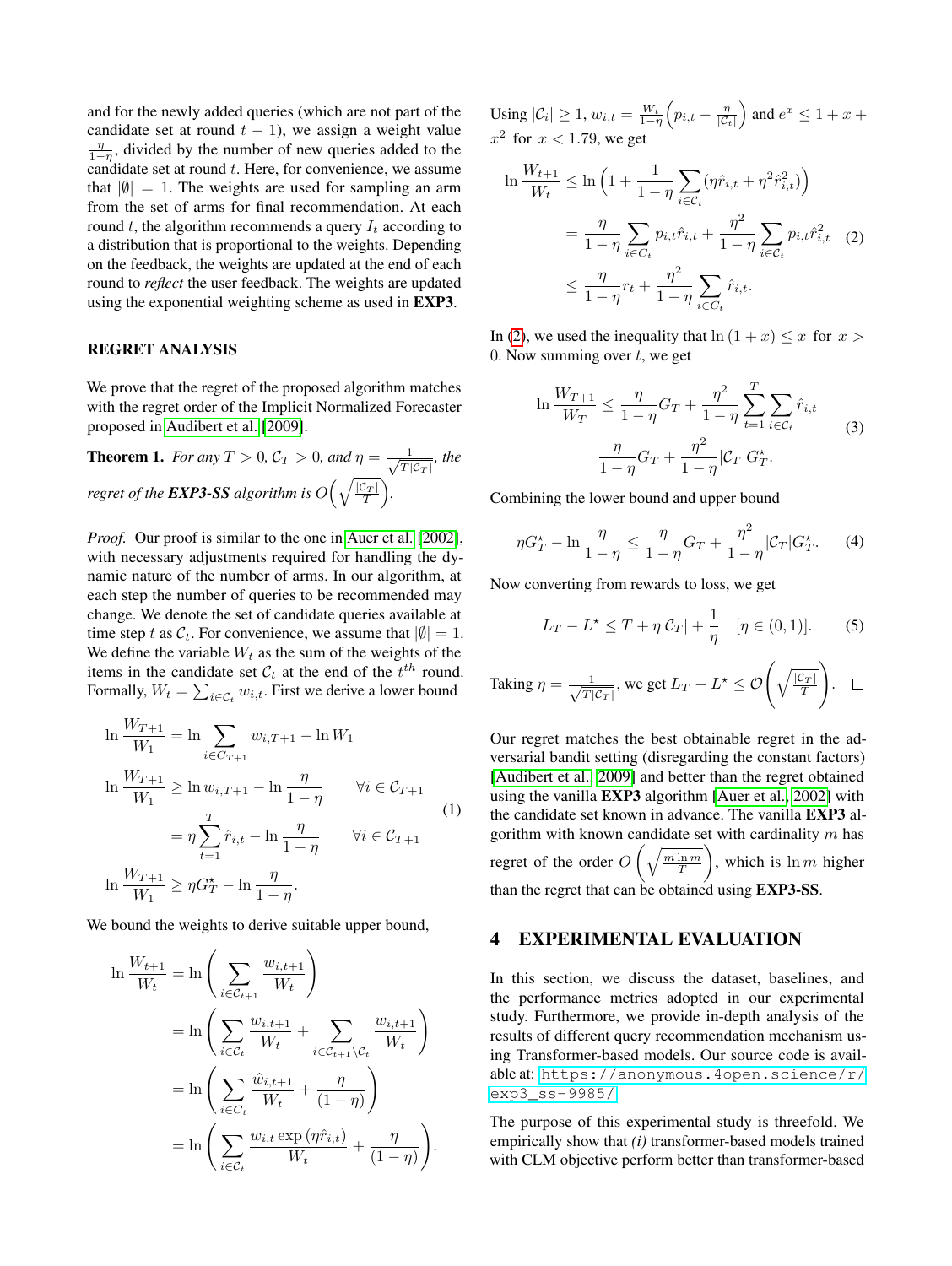and for the newly added queries (which are not part of the candidate set at round  $t - 1$ ), we assign a weight value  $\frac{\eta}{1-\eta}$ , divided by the number of new queries added to the candidate set at round  $t$ . Here, for convenience, we assume that  $|\emptyset| = 1$ . The weights are used for sampling an arm from the set of arms for final recommendation. At each round  $t$ , the algorithm recommends a query  $I_t$  according to a distribution that is proportional to the weights. Depending on the feedback, the weights are updated at the end of each round to *reflect* the user feedback. The weights are updated using the exponential weighting scheme as used in EXP3.

#### REGRET ANALYSIS

We prove that the regret of the proposed algorithm matches with the regret order of the Implicit Normalized Forecaster proposed in [Audibert et al.](#page-8-14) [\[2009\]](#page-8-14).

**Theorem 1.** *For any*  $T > 0$ ,  $C_T > 0$ , and  $\eta = \frac{1}{\sqrt{T}}$  $\frac{1}{|T|C_T|}$ , the *regret of the EXP3-SS algorithm is*  $O\Big(\sqrt{\frac{|\mathcal{C}_T|}{T}}\Big)$ *.* 

*Proof.* Our proof is similar to the one in [Auer et al.](#page-8-4) [\[2002\]](#page-8-4), with necessary adjustments required for handling the dynamic nature of the number of arms. In our algorithm, at each step the number of queries to be recommended may change. We denote the set of candidate queries available at time step t as  $C_t$ . For convenience, we assume that  $|\emptyset|=1$ . We define the variable  $W_t$  as the sum of the weights of the items in the candidate set  $C_t$  at the end of the  $t^{th}$  round. Formally,  $W_t = \sum_{i \in \mathcal{C}_t} w_{i,t}$ . First we derive a lower bound

$$
\ln \frac{W_{T+1}}{W_1} = \ln \sum_{i \in C_{T+1}} w_{i,T+1} - \ln W_1
$$
  
\n
$$
\ln \frac{W_{T+1}}{W_1} \ge \ln w_{i,T+1} - \ln \frac{\eta}{1-\eta} \qquad \forall i \in C_{T+1}
$$
  
\n
$$
= \eta \sum_{t=1}^{T} \hat{r}_{i,t} - \ln \frac{\eta}{1-\eta} \qquad \forall i \in C_{T+1}
$$
  
\n
$$
\ln \frac{W_{T+1}}{W_1} \ge \eta G_T^{\star} - \ln \frac{\eta}{1-\eta}.
$$
 (1)

We bound the weights to derive suitable upper bound,

$$
\ln \frac{W_{t+1}}{W_t} = \ln \left( \sum_{i \in C_{t+1}} \frac{w_{i,t+1}}{W_t} \right)
$$
  
= 
$$
\ln \left( \sum_{i \in C_t} \frac{w_{i,t+1}}{W_t} + \sum_{i \in C_{t+1} \setminus C_t} \frac{w_{i,t+1}}{W_t} \right)
$$
  
= 
$$
\ln \left( \sum_{i \in C_t} \frac{\hat{w}_{i,t+1}}{W_t} + \frac{\eta}{(1-\eta)} \right)
$$
  
= 
$$
\ln \left( \sum_{i \in C_t} \frac{w_{i,t} \exp(\eta \hat{r}_{i,t})}{W_t} + \frac{\eta}{(1-\eta)} \right).
$$

Using  $|\mathcal{C}_i| \geq 1$ ,  $w_{i,t} = \frac{W_t}{1-\eta} \left( p_{i,t} - \frac{\eta}{|\mathcal{C}_t|} \right)$  and  $e^x \leq 1 + x + \eta$  $x^2$  for  $x < 1.79$ , we get

<span id="page-4-1"></span>
$$
\ln \frac{W_{t+1}}{W_t} \leq \ln \left( 1 + \frac{1}{1 - \eta} \sum_{i \in C_t} (\eta \hat{r}_{i,t} + \eta^2 \hat{r}_{i,t}^2) \right)
$$
  
= 
$$
\frac{\eta}{1 - \eta} \sum_{i \in C_t} p_{i,t} \hat{r}_{i,t} + \frac{\eta^2}{1 - \eta} \sum_{i \in C_t} p_{i,t} \hat{r}_{i,t}^2 \quad (2)
$$
  

$$
\leq \frac{\eta}{1 - \eta} r_t + \frac{\eta^2}{1 - \eta} \sum_{i \in C_t} \hat{r}_{i,t}.
$$

In [\(2\)](#page-4-1), we used the inequality that  $\ln(1 + x) \leq x$  for  $x >$ 0. Now summing over  $t$ , we get

$$
\ln \frac{W_{T+1}}{W_T} \le \frac{\eta}{1-\eta} G_T + \frac{\eta^2}{1-\eta} \sum_{t=1}^T \sum_{i \in C_t} \hat{r}_{i,t}
$$
  

$$
\frac{\eta}{1-\eta} G_T + \frac{\eta^2}{1-\eta} |\mathcal{C}_T| G_T^*.
$$
 (3)

Combining the lower bound and upper bound

$$
\eta G_T^* - \ln \frac{\eta}{1 - \eta} \le \frac{\eta}{1 - \eta} G_T + \frac{\eta^2}{1 - \eta} |C_T| G_T^*.
$$
 (4)

Now converting from rewards to loss, we get

$$
L_T - L^* \le T + \eta |\mathcal{C}_T| + \frac{1}{\eta} \quad [\eta \in (0, 1)].
$$
 (5)

Taking 
$$
\eta = \frac{1}{\sqrt{T|\mathcal{C}_T|}}
$$
, we get  $L_T - L^* \leq \mathcal{O}\left(\sqrt{\frac{|\mathcal{C}_T|}{T}}\right)$ .  $\square$ 

Our regret matches the best obtainable regret in the adversarial bandit setting (disregarding the constant factors) [\[Audibert et al., 2009\]](#page-8-14) and better than the regret obtained using the vanilla EXP3 algorithm [\[Auer et al., 2002\]](#page-8-4) with the candidate set known in advance. The vanilla EXP3 algorithm with known candidate set with cardinality  $m$  has regret of the order  $O\left(\sqrt{\frac{m \ln m}{T}}\right)$ ), which is  $\ln m$  higher than the regret that can be obtained using EXP3-SS.

### <span id="page-4-0"></span>4 EXPERIMENTAL EVALUATION

In this section, we discuss the dataset, baselines, and the performance metrics adopted in our experimental study. Furthermore, we provide in-depth analysis of the results of different query recommendation mechanism using Transformer-based models. Our source code is available at: [https://anonymous.4open.science/r/](https://anonymous.4open.science/r/exp3_ss-9985/) [exp3\\_ss-9985/](https://anonymous.4open.science/r/exp3_ss-9985/).

The purpose of this experimental study is threefold. We empirically show that *(i)* transformer-based models trained with CLM objective perform better than transformer-based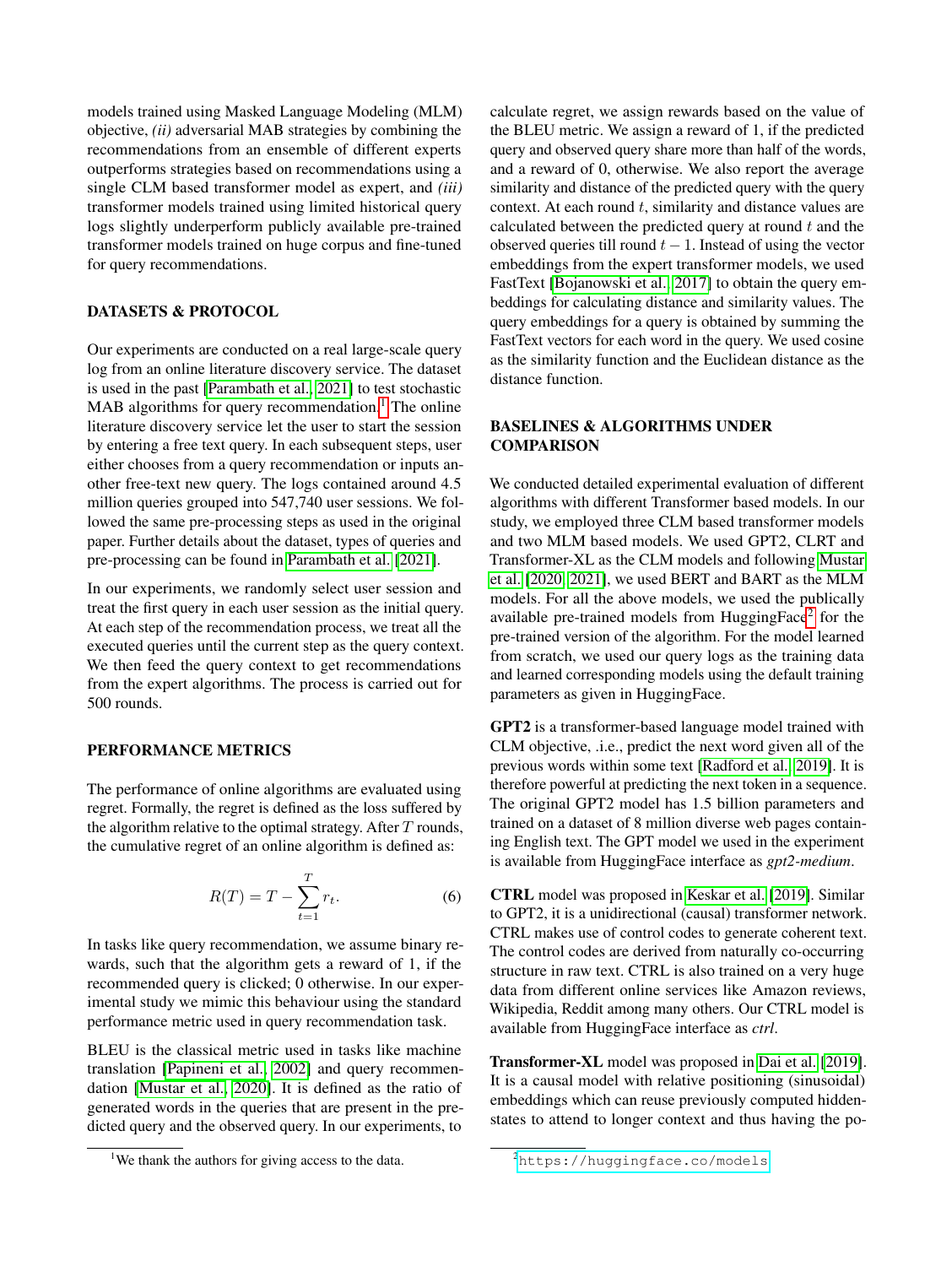models trained using Masked Language Modeling (MLM) objective, *(ii)* adversarial MAB strategies by combining the recommendations from an ensemble of different experts outperforms strategies based on recommendations using a single CLM based transformer model as expert, and *(iii)* transformer models trained using limited historical query logs slightly underperform publicly available pre-trained transformer models trained on huge corpus and fine-tuned for query recommendations.

### DATASETS & PROTOCOL

Our experiments are conducted on a real large-scale query log from an online literature discovery service. The dataset is used in the past [\[Parambath et al., 2021\]](#page-8-1) to test stochastic  $MAB$  algorithms for query recommendation.<sup>[1](#page-5-0)</sup> The online literature discovery service let the user to start the session by entering a free text query. In each subsequent steps, user either chooses from a query recommendation or inputs another free-text new query. The logs contained around 4.5 million queries grouped into 547,740 user sessions. We followed the same pre-processing steps as used in the original paper. Further details about the dataset, types of queries and pre-processing can be found in [Parambath et al.](#page-8-1) [\[2021\]](#page-8-1).

In our experiments, we randomly select user session and treat the first query in each user session as the initial query. At each step of the recommendation process, we treat all the executed queries until the current step as the query context. We then feed the query context to get recommendations from the expert algorithms. The process is carried out for 500 rounds.

### PERFORMANCE METRICS

The performance of online algorithms are evaluated using regret. Formally, the regret is defined as the loss suffered by the algorithm relative to the optimal strategy. After  $T$  rounds, the cumulative regret of an online algorithm is defined as:

$$
R(T) = T - \sum_{t=1}^{T} r_t.
$$
\n
$$
(6)
$$

In tasks like query recommendation, we assume binary rewards, such that the algorithm gets a reward of 1, if the recommended query is clicked; 0 otherwise. In our experimental study we mimic this behaviour using the standard performance metric used in query recommendation task.

BLEU is the classical metric used in tasks like machine translation [\[Papineni et al., 2002\]](#page-8-22) and query recommendation [\[Mustar et al., 2020\]](#page-8-9). It is defined as the ratio of generated words in the queries that are present in the predicted query and the observed query. In our experiments, to

calculate regret, we assign rewards based on the value of the BLEU metric. We assign a reward of 1, if the predicted query and observed query share more than half of the words, and a reward of 0, otherwise. We also report the average similarity and distance of the predicted query with the query context. At each round  $t$ , similarity and distance values are calculated between the predicted query at round  $t$  and the observed queries till round  $t - 1$ . Instead of using the vector embeddings from the expert transformer models, we used FastText [\[Bojanowski et al., 2017\]](#page-8-23) to obtain the query embeddings for calculating distance and similarity values. The query embeddings for a query is obtained by summing the FastText vectors for each word in the query. We used cosine as the similarity function and the Euclidean distance as the distance function.

### BASELINES & ALGORITHMS UNDER **COMPARISON**

We conducted detailed experimental evaluation of different algorithms with different Transformer based models. In our study, we employed three CLM based transformer models and two MLM based models. We used GPT2, CLRT and Transformer-XL as the CLM models and following [Mustar](#page-8-9) [et al.](#page-8-9) [\[2020,](#page-8-9) [2021\]](#page-8-11), we used BERT and BART as the MLM models. For all the above models, we used the publically available pre-trained models from HuggingFace<sup>[2](#page-5-1)</sup> for the pre-trained version of the algorithm. For the model learned from scratch, we used our query logs as the training data and learned corresponding models using the default training parameters as given in HuggingFace.

GPT2 is a transformer-based language model trained with CLM objective, .i.e., predict the next word given all of the previous words within some text [\[Radford et al., 2019\]](#page-8-24). It is therefore powerful at predicting the next token in a sequence. The original GPT2 model has 1.5 billion parameters and trained on a dataset of 8 million diverse web pages containing English text. The GPT model we used in the experiment is available from HuggingFace interface as *gpt2-medium*.

CTRL model was proposed in [Keskar et al.](#page-8-25) [\[2019\]](#page-8-25). Similar to GPT2, it is a unidirectional (causal) transformer network. CTRL makes use of control codes to generate coherent text. The control codes are derived from naturally co-occurring structure in raw text. CTRL is also trained on a very huge data from different online services like Amazon reviews, Wikipedia, Reddit among many others. Our CTRL model is available from HuggingFace interface as *ctrl*.

Transformer-XL model was proposed in [Dai et al.](#page-8-26) [\[2019\]](#page-8-26). It is a causal model with relative positioning (sinusoidal) embeddings which can reuse previously computed hiddenstates to attend to longer context and thus having the po-

<span id="page-5-0"></span><sup>&</sup>lt;sup>1</sup>We thank the authors for giving access to the data.

<span id="page-5-1"></span><sup>2</sup><https://huggingface.co/models>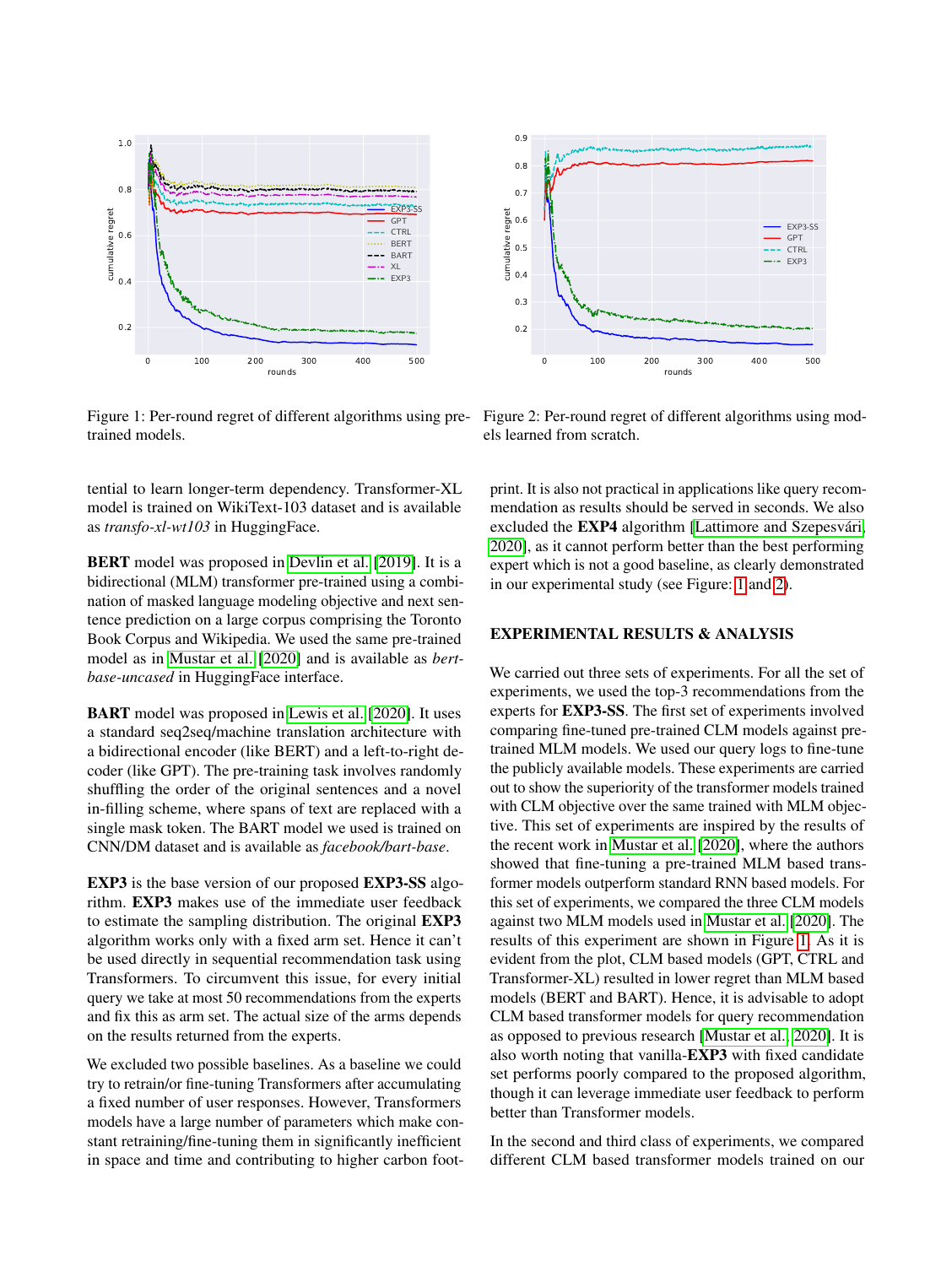<span id="page-6-0"></span>

Figure 1: Per-round regret of different algorithms using pretrained models.

tential to learn longer-term dependency. Transformer-XL model is trained on WikiText-103 dataset and is available as *transfo-xl-wt103* in HuggingFace.

BERT model was proposed in [Devlin et al.](#page-8-17) [\[2019\]](#page-8-17). It is a bidirectional (MLM) transformer pre-trained using a combination of masked language modeling objective and next sentence prediction on a large corpus comprising the Toronto Book Corpus and Wikipedia. We used the same pre-trained model as in [Mustar et al.](#page-8-9) [\[2020\]](#page-8-9) and is available as *bertbase-uncased* in HuggingFace interface.

BART model was proposed in [Lewis et al.](#page-8-18) [\[2020\]](#page-8-18). It uses a standard seq2seq/machine translation architecture with a bidirectional encoder (like BERT) and a left-to-right decoder (like GPT). The pre-training task involves randomly shuffling the order of the original sentences and a novel in-filling scheme, where spans of text are replaced with a single mask token. The BART model we used is trained on CNN/DM dataset and is available as *facebook/bart-base*.

EXP3 is the base version of our proposed EXP3-SS algorithm. EXP3 makes use of the immediate user feedback to estimate the sampling distribution. The original EXP3 algorithm works only with a fixed arm set. Hence it can't be used directly in sequential recommendation task using Transformers. To circumvent this issue, for every initial query we take at most 50 recommendations from the experts and fix this as arm set. The actual size of the arms depends on the results returned from the experts.

We excluded two possible baselines. As a baseline we could try to retrain/or fine-tuning Transformers after accumulating a fixed number of user responses. However, Transformers models have a large number of parameters which make constant retraining/fine-tuning them in significantly inefficient in space and time and contributing to higher carbon foot-

Figure 2: Per-round regret of different algorithms using mod-

print. It is also not practical in applications like query recommendation as results should be served in seconds. We also excluded the EXP4 algorithm [\[Lattimore and Szepesvári,](#page-8-13) [2020\]](#page-8-13), as it cannot perform better than the best performing

expert which is not a good baseline, as clearly demonstrated

### EXPERIMENTAL RESULTS & ANALYSIS

in our experimental study (see Figure: [1](#page-6-0) and [2\)](#page-6-0).

We carried out three sets of experiments. For all the set of experiments, we used the top-3 recommendations from the experts for EXP3-SS. The first set of experiments involved comparing fine-tuned pre-trained CLM models against pretrained MLM models. We used our query logs to fine-tune the publicly available models. These experiments are carried out to show the superiority of the transformer models trained with CLM objective over the same trained with MLM objective. This set of experiments are inspired by the results of the recent work in [Mustar et al.](#page-8-9) [\[2020\]](#page-8-9), where the authors showed that fine-tuning a pre-trained MLM based transformer models outperform standard RNN based models. For this set of experiments, we compared the three CLM models against two MLM models used in [Mustar et al.](#page-8-9) [\[2020\]](#page-8-9). The results of this experiment are shown in Figure [1.](#page-6-0) As it is evident from the plot, CLM based models (GPT, CTRL and Transformer-XL) resulted in lower regret than MLM based models (BERT and BART). Hence, it is advisable to adopt CLM based transformer models for query recommendation as opposed to previous research [\[Mustar et al., 2020\]](#page-8-9). It is also worth noting that vanilla-EXP3 with fixed candidate set performs poorly compared to the proposed algorithm, though it can leverage immediate user feedback to perform better than Transformer models.

In the second and third class of experiments, we compared different CLM based transformer models trained on our



0.9

els learned from scratch.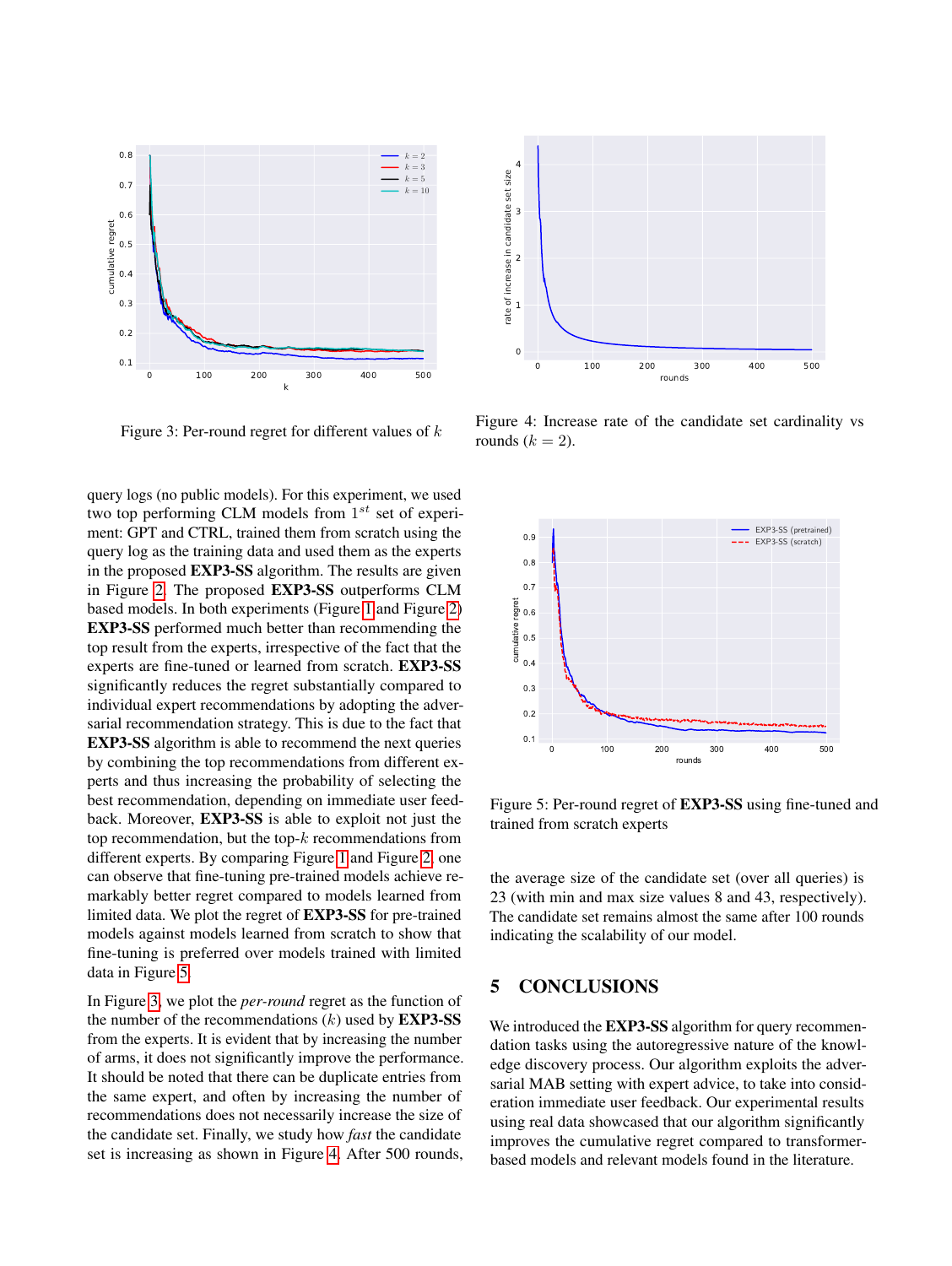<span id="page-7-1"></span>

Figure 3: Per-round regret for different values of  $k$ 

query logs (no public models). For this experiment, we used two top performing CLM models from  $1^{st}$  set of experiment: GPT and CTRL, trained them from scratch using the query log as the training data and used them as the experts in the proposed EXP3-SS algorithm. The results are given in Figure [2.](#page-6-0) The proposed EXP3-SS outperforms CLM based models. In both experiments (Figure [1](#page-6-0) and Figure [2\)](#page-6-0) EXP3-SS performed much better than recommending the top result from the experts, irrespective of the fact that the experts are fine-tuned or learned from scratch. EXP3-SS significantly reduces the regret substantially compared to individual expert recommendations by adopting the adversarial recommendation strategy. This is due to the fact that EXP3-SS algorithm is able to recommend the next queries by combining the top recommendations from different experts and thus increasing the probability of selecting the best recommendation, depending on immediate user feedback. Moreover, EXP3-SS is able to exploit not just the top recommendation, but the top- $k$  recommendations from different experts. By comparing Figure [1](#page-6-0) and Figure [2,](#page-6-0) one can observe that fine-tuning pre-trained models achieve remarkably better regret compared to models learned from limited data. We plot the regret of EXP3-SS for pre-trained models against models learned from scratch to show that fine-tuning is preferred over models trained with limited data in Figure [5.](#page-7-0)

In Figure [3,](#page-7-1) we plot the *per-round* regret as the function of the number of the recommendations  $(k)$  used by **EXP3-SS** from the experts. It is evident that by increasing the number of arms, it does not significantly improve the performance. It should be noted that there can be duplicate entries from the same expert, and often by increasing the number of recommendations does not necessarily increase the size of the candidate set. Finally, we study how *fast* the candidate set is increasing as shown in Figure [4.](#page-7-1) After 500 rounds,



Figure 4: Increase rate of the candidate set cardinality vs rounds  $(k = 2)$ .

<span id="page-7-0"></span>

Figure 5: Per-round regret of EXP3-SS using fine-tuned and trained from scratch experts

the average size of the candidate set (over all queries) is 23 (with min and max size values 8 and 43, respectively). The candidate set remains almost the same after 100 rounds indicating the scalability of our model.

# 5 CONCLUSIONS

We introduced the **EXP3-SS** algorithm for query recommendation tasks using the autoregressive nature of the knowledge discovery process. Our algorithm exploits the adversarial MAB setting with expert advice, to take into consideration immediate user feedback. Our experimental results using real data showcased that our algorithm significantly improves the cumulative regret compared to transformerbased models and relevant models found in the literature.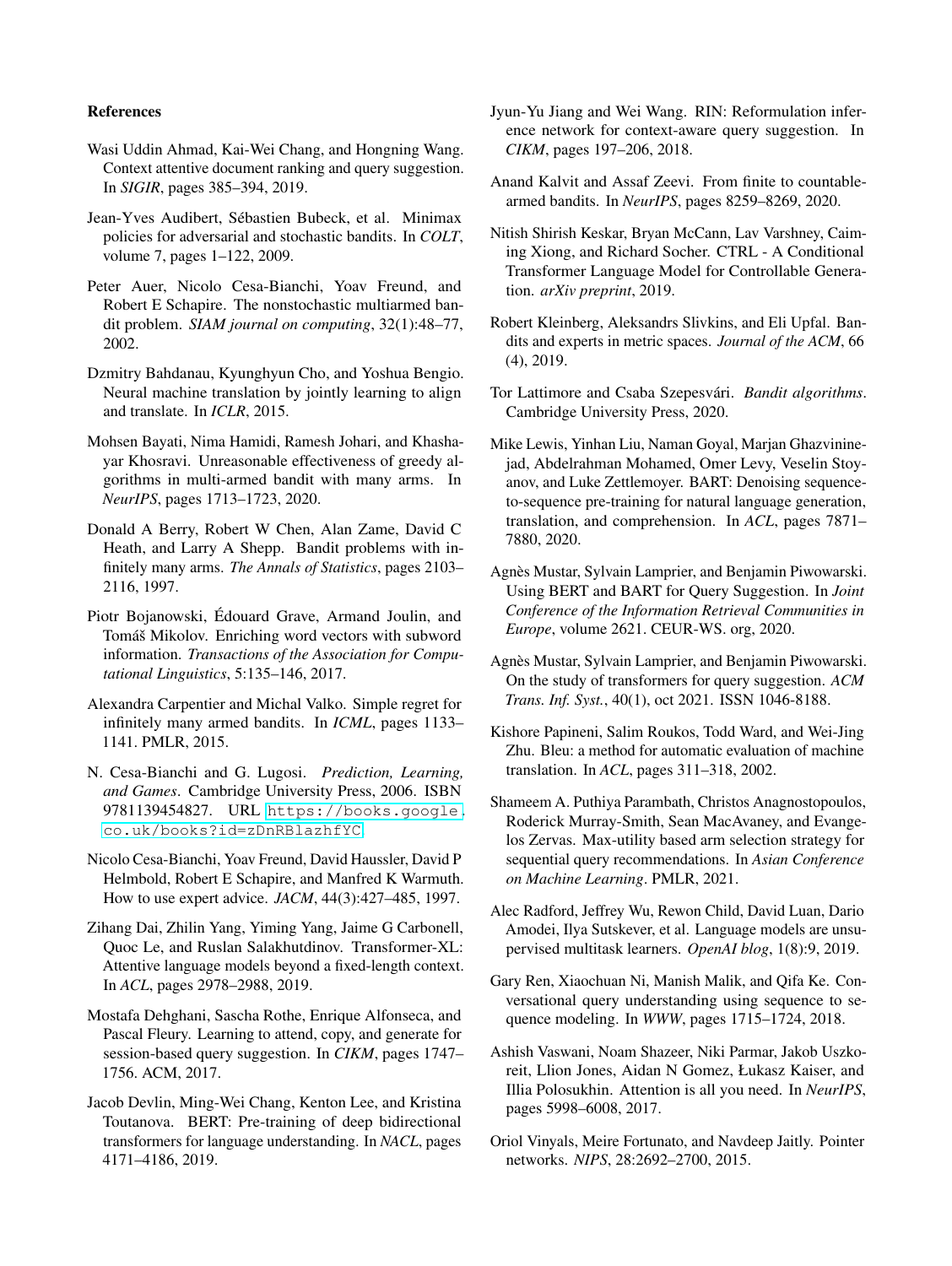#### References

- <span id="page-8-7"></span>Wasi Uddin Ahmad, Kai-Wei Chang, and Hongning Wang. Context attentive document ranking and query suggestion. In *SIGIR*, pages 385–394, 2019.
- <span id="page-8-14"></span>Jean-Yves Audibert, Sébastien Bubeck, et al. Minimax policies for adversarial and stochastic bandits. In *COLT*, volume 7, pages 1–122, 2009.
- <span id="page-8-4"></span>Peter Auer, Nicolo Cesa-Bianchi, Yoav Freund, and Robert E Schapire. The nonstochastic multiarmed bandit problem. *SIAM journal on computing*, 32(1):48–77, 2002.
- <span id="page-8-15"></span>Dzmitry Bahdanau, Kyunghyun Cho, and Yoshua Bengio. Neural machine translation by jointly learning to align and translate. In *ICLR*, 2015.
- <span id="page-8-3"></span>Mohsen Bayati, Nima Hamidi, Ramesh Johari, and Khashayar Khosravi. Unreasonable effectiveness of greedy algorithms in multi-armed bandit with many arms. In *NeurIPS*, pages 1713–1723, 2020.
- <span id="page-8-20"></span>Donald A Berry, Robert W Chen, Alan Zame, David C Heath, and Larry A Shepp. Bandit problems with infinitely many arms. *The Annals of Statistics*, pages 2103– 2116, 1997.
- <span id="page-8-23"></span>Piotr Bojanowski, Édouard Grave, Armand Joulin, and Tomáš Mikolov. Enriching word vectors with subword information. *Transactions of the Association for Computational Linguistics*, 5:135–146, 2017.
- <span id="page-8-19"></span>Alexandra Carpentier and Michal Valko. Simple regret for infinitely many armed bandits. In *ICML*, pages 1133– 1141. PMLR, 2015.
- <span id="page-8-5"></span>N. Cesa-Bianchi and G. Lugosi. *Prediction, Learning, and Games*. Cambridge University Press, 2006. ISBN 9781139454827. URL [https://books.google.](https://books.google.co.uk/books?id=zDnRBlazhfYC) [co.uk/books?id=zDnRBlazhfYC](https://books.google.co.uk/books?id=zDnRBlazhfYC).
- <span id="page-8-12"></span>Nicolo Cesa-Bianchi, Yoav Freund, David Haussler, David P Helmbold, Robert E Schapire, and Manfred K Warmuth. How to use expert advice. *JACM*, 44(3):427–485, 1997.
- <span id="page-8-26"></span>Zihang Dai, Zhilin Yang, Yiming Yang, Jaime G Carbonell, Quoc Le, and Ruslan Salakhutdinov. Transformer-XL: Attentive language models beyond a fixed-length context. In *ACL*, pages 2978–2988, 2019.
- <span id="page-8-0"></span>Mostafa Dehghani, Sascha Rothe, Enrique Alfonseca, and Pascal Fleury. Learning to attend, copy, and generate for session-based query suggestion. In *CIKM*, pages 1747– 1756. ACM, 2017.
- <span id="page-8-17"></span>Jacob Devlin, Ming-Wei Chang, Kenton Lee, and Kristina Toutanova. BERT: Pre-training of deep bidirectional transformers for language understanding. In *NACL*, pages 4171–4186, 2019.
- <span id="page-8-8"></span>Jyun-Yu Jiang and Wei Wang. RIN: Reformulation inference network for context-aware query suggestion. In *CIKM*, pages 197–206, 2018.
- <span id="page-8-2"></span>Anand Kalvit and Assaf Zeevi. From finite to countablearmed bandits. In *NeurIPS*, pages 8259–8269, 2020.
- <span id="page-8-25"></span>Nitish Shirish Keskar, Bryan McCann, Lav Varshney, Caiming Xiong, and Richard Socher. CTRL - A Conditional Transformer Language Model for Controllable Generation. *arXiv preprint*, 2019.
- <span id="page-8-21"></span>Robert Kleinberg, Aleksandrs Slivkins, and Eli Upfal. Bandits and experts in metric spaces. *Journal of the ACM*, 66 (4), 2019.
- <span id="page-8-13"></span>Tor Lattimore and Csaba Szepesvári. *Bandit algorithms*. Cambridge University Press, 2020.
- <span id="page-8-18"></span>Mike Lewis, Yinhan Liu, Naman Goyal, Marjan Ghazvininejad, Abdelrahman Mohamed, Omer Levy, Veselin Stoyanov, and Luke Zettlemoyer. BART: Denoising sequenceto-sequence pre-training for natural language generation, translation, and comprehension. In *ACL*, pages 7871– 7880, 2020.
- <span id="page-8-9"></span>Agnès Mustar, Sylvain Lamprier, and Benjamin Piwowarski. Using BERT and BART for Query Suggestion. In *Joint Conference of the Information Retrieval Communities in Europe*, volume 2621. CEUR-WS. org, 2020.
- <span id="page-8-11"></span>Agnès Mustar, Sylvain Lamprier, and Benjamin Piwowarski. On the study of transformers for query suggestion. *ACM Trans. Inf. Syst.*, 40(1), oct 2021. ISSN 1046-8188.
- <span id="page-8-22"></span>Kishore Papineni, Salim Roukos, Todd Ward, and Wei-Jing Zhu. Bleu: a method for automatic evaluation of machine translation. In *ACL*, pages 311–318, 2002.
- <span id="page-8-1"></span>Shameem A. Puthiya Parambath, Christos Anagnostopoulos, Roderick Murray-Smith, Sean MacAvaney, and Evangelos Zervas. Max-utility based arm selection strategy for sequential query recommendations. In *Asian Conference on Machine Learning*. PMLR, 2021.
- <span id="page-8-24"></span>Alec Radford, Jeffrey Wu, Rewon Child, David Luan, Dario Amodei, Ilya Sutskever, et al. Language models are unsupervised multitask learners. *OpenAI blog*, 1(8):9, 2019.
- <span id="page-8-6"></span>Gary Ren, Xiaochuan Ni, Manish Malik, and Qifa Ke. Conversational query understanding using sequence to sequence modeling. In *WWW*, pages 1715–1724, 2018.
- <span id="page-8-10"></span>Ashish Vaswani, Noam Shazeer, Niki Parmar, Jakob Uszkoreit, Llion Jones, Aidan N Gomez, Łukasz Kaiser, and Illia Polosukhin. Attention is all you need. In *NeurIPS*, pages 5998–6008, 2017.
- <span id="page-8-16"></span>Oriol Vinyals, Meire Fortunato, and Navdeep Jaitly. Pointer networks. *NIPS*, 28:2692–2700, 2015.